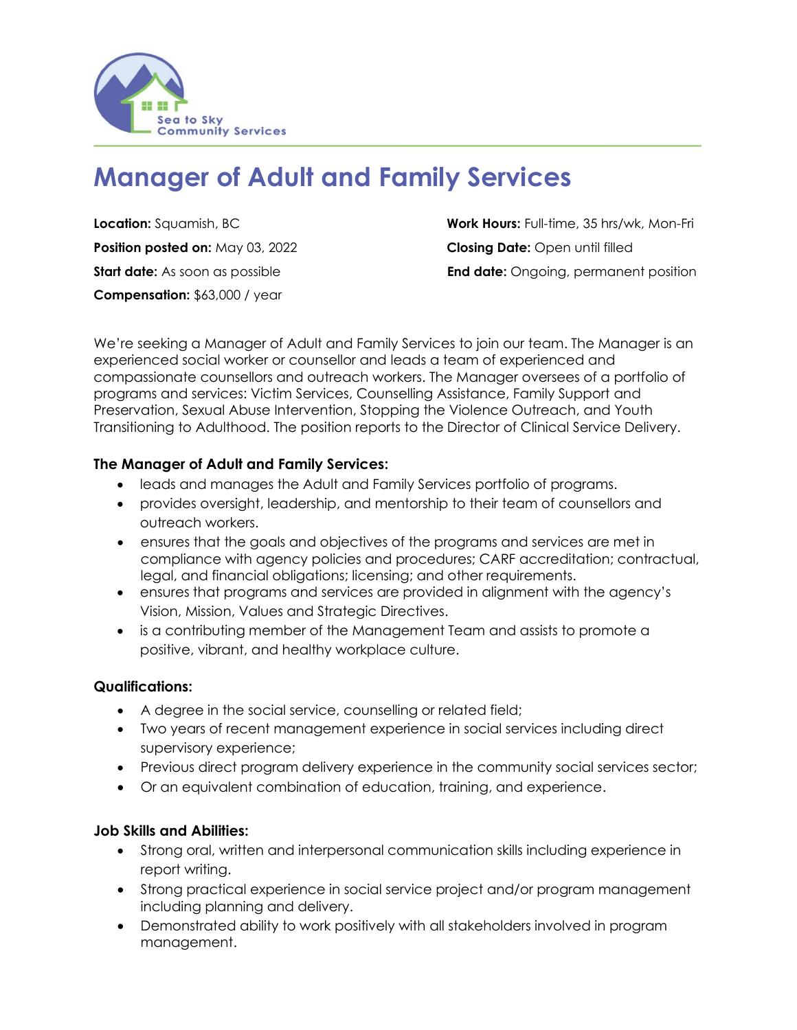

# **Manager of Adult and Family Services**

**Position posted on:** May 03, 2022 **Closing Date:** Open until filled **Compensation:** \$63,000 / year

**Location:** Squamish, BC **Work Hours:** Full-time, 35 hrs/wk, Mon-Fri **Start date:** As soon as possible **End date:** Ongoing, permanent position

We're seeking a Manager of Adult and Family Services to join our team. The Manager is an experienced social worker or counsellor and leads a team of experienced and compassionate counsellors and outreach workers. The Manager oversees of a portfolio of programs and services: Victim Services, Counselling Assistance, Family Support and Preservation, Sexual Abuse Intervention, Stopping the Violence Outreach, and Youth Transitioning to Adulthood. The position reports to the Director of Clinical Service Delivery.

### **The Manager of Adult and Family Services:**

- leads and manages the Adult and Family Services portfolio of programs.
- provides oversight, leadership, and mentorship to their team of counsellors and outreach workers.
- ensures that the goals and objectives of the programs and services are met in compliance with agency policies and procedures; CARF accreditation; contractual, legal, and financial obligations; licensing; and other requirements.
- ensures that programs and services are provided in alignment with the agency's Vision, Mission, Values and Strategic Directives.
- is a contributing member of the Management Team and assists to promote a positive, vibrant, and healthy workplace culture.

#### **Qualifications:**

- A degree in the social service, counselling or related field;
- Two years of recent management experience in social services including direct supervisory experience;
- Previous direct program delivery experience in the community social services sector;
- Or an equivalent combination of education, training, and experience.

#### **Job Skills and Abilities:**

- Strong oral, written and interpersonal communication skills including experience in report writing.
- Strong practical experience in social service project and/or program management including planning and delivery.
- Demonstrated ability to work positively with all stakeholders involved in program management.